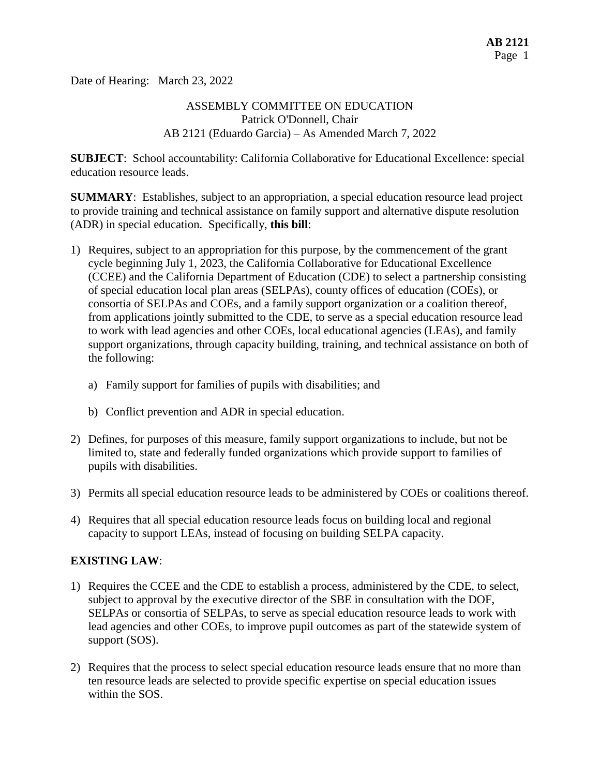Date of Hearing: March 23, 2022

## ASSEMBLY COMMITTEE ON EDUCATION Patrick O'Donnell, Chair AB 2121 (Eduardo Garcia) – As Amended March 7, 2022

**SUBJECT**: School accountability: California Collaborative for Educational Excellence: special education resource leads.

**SUMMARY**: Establishes, subject to an appropriation, a special education resource lead project to provide training and technical assistance on family support and alternative dispute resolution (ADR) in special education. Specifically, **this bill**:

- 1) Requires, subject to an appropriation for this purpose, by the commencement of the grant cycle beginning July 1, 2023, the California Collaborative for Educational Excellence (CCEE) and the California Department of Education (CDE) to select a partnership consisting of special education local plan areas (SELPAs), county offices of education (COEs), or consortia of SELPAs and COEs, and a family support organization or a coalition thereof, from applications jointly submitted to the CDE, to serve as a special education resource lead to work with lead agencies and other COEs, local educational agencies (LEAs), and family support organizations, through capacity building, training, and technical assistance on both of the following:
	- a) Family support for families of pupils with disabilities; and
	- b) Conflict prevention and ADR in special education.
- 2) Defines, for purposes of this measure, family support organizations to include, but not be limited to, state and federally funded organizations which provide support to families of pupils with disabilities.
- 3) Permits all special education resource leads to be administered by COEs or coalitions thereof.
- 4) Requires that all special education resource leads focus on building local and regional capacity to support LEAs, instead of focusing on building SELPA capacity.

## **EXISTING LAW**:

- 1) Requires the CCEE and the CDE to establish a process, administered by the CDE, to select, subject to approval by the executive director of the SBE in consultation with the DOF, SELPAs or consortia of SELPAs, to serve as special education resource leads to work with lead agencies and other COEs, to improve pupil outcomes as part of the statewide system of support (SOS).
- 2) Requires that the process to select special education resource leads ensure that no more than ten resource leads are selected to provide specific expertise on special education issues within the SOS.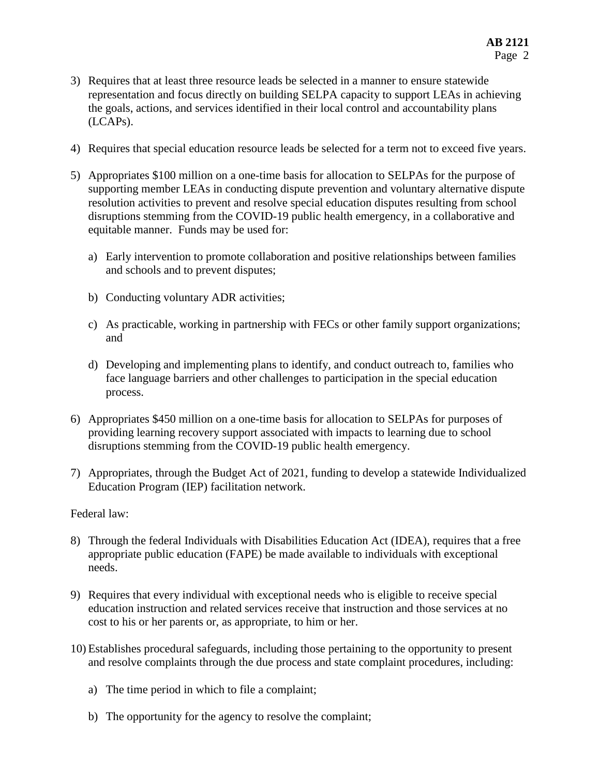- 3) Requires that at least three resource leads be selected in a manner to ensure statewide representation and focus directly on building SELPA capacity to support LEAs in achieving the goals, actions, and services identified in their local control and accountability plans (LCAPs).
- 4) Requires that special education resource leads be selected for a term not to exceed five years.
- 5) Appropriates \$100 million on a one-time basis for allocation to SELPAs for the purpose of supporting member LEAs in conducting dispute prevention and voluntary alternative dispute resolution activities to prevent and resolve special education disputes resulting from school disruptions stemming from the COVID-19 public health emergency, in a collaborative and equitable manner. Funds may be used for:
	- a) Early intervention to promote collaboration and positive relationships between families and schools and to prevent disputes;
	- b) Conducting voluntary ADR activities;
	- c) As practicable, working in partnership with FECs or other family support organizations; and
	- d) Developing and implementing plans to identify, and conduct outreach to, families who face language barriers and other challenges to participation in the special education process.
- 6) Appropriates \$450 million on a one-time basis for allocation to SELPAs for purposes of providing learning recovery support associated with impacts to learning due to school disruptions stemming from the COVID-19 public health emergency.
- 7) Appropriates, through the Budget Act of 2021, funding to develop a statewide Individualized Education Program (IEP) facilitation network.

#### Federal law:

- 8) Through the federal Individuals with Disabilities Education Act (IDEA), requires that a free appropriate public education (FAPE) be made available to individuals with exceptional needs.
- 9) Requires that every individual with exceptional needs who is eligible to receive special education instruction and related services receive that instruction and those services at no cost to his or her parents or, as appropriate, to him or her.
- 10) Establishes procedural safeguards, including those pertaining to the opportunity to present and resolve complaints through the due process and state complaint procedures, including:
	- a) The time period in which to file a complaint;
	- b) The opportunity for the agency to resolve the complaint;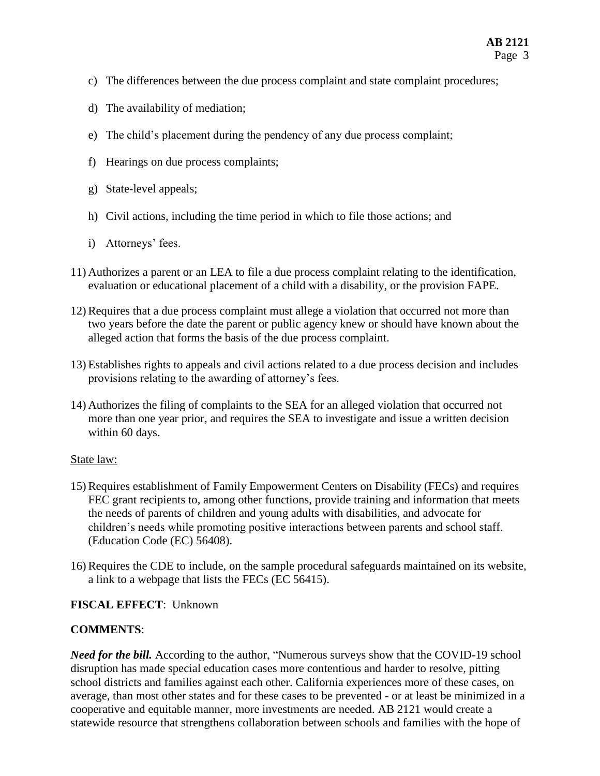- c) The differences between the due process complaint and state complaint procedures;
- d) The availability of mediation;
- e) The child's placement during the pendency of any due process complaint;
- f) Hearings on due process complaints;
- g) State-level appeals;
- h) Civil actions, including the time period in which to file those actions; and
- i) Attorneys' fees.
- 11) Authorizes a parent or an LEA to file a due process complaint relating to the identification, evaluation or educational placement of a child with a disability, or the provision FAPE.
- 12) Requires that a due process complaint must allege a violation that occurred not more than two years before the date the parent or public agency knew or should have known about the alleged action that forms the basis of the due process complaint.
- 13) Establishes rights to appeals and civil actions related to a due process decision and includes provisions relating to the awarding of attorney's fees.
- 14) Authorizes the filing of complaints to the SEA for an alleged violation that occurred not more than one year prior, and requires the SEA to investigate and issue a written decision within 60 days.

## State law:

- 15) Requires establishment of Family Empowerment Centers on Disability (FECs) and requires FEC grant recipients to, among other functions, provide training and information that meets the needs of parents of children and young adults with disabilities, and advocate for children's needs while promoting positive interactions between parents and school staff. (Education Code (EC) 56408).
- 16) Requires the CDE to include, on the sample procedural safeguards maintained on its website, a link to a webpage that lists the FECs (EC 56415).

## **FISCAL EFFECT**: Unknown

## **COMMENTS**:

*Need for the bill.* According to the author, "Numerous surveys show that the COVID-19 school disruption has made special education cases more contentious and harder to resolve, pitting school districts and families against each other. California experiences more of these cases, on average, than most other states and for these cases to be prevented - or at least be minimized in a cooperative and equitable manner, more investments are needed. AB 2121 would create a statewide resource that strengthens collaboration between schools and families with the hope of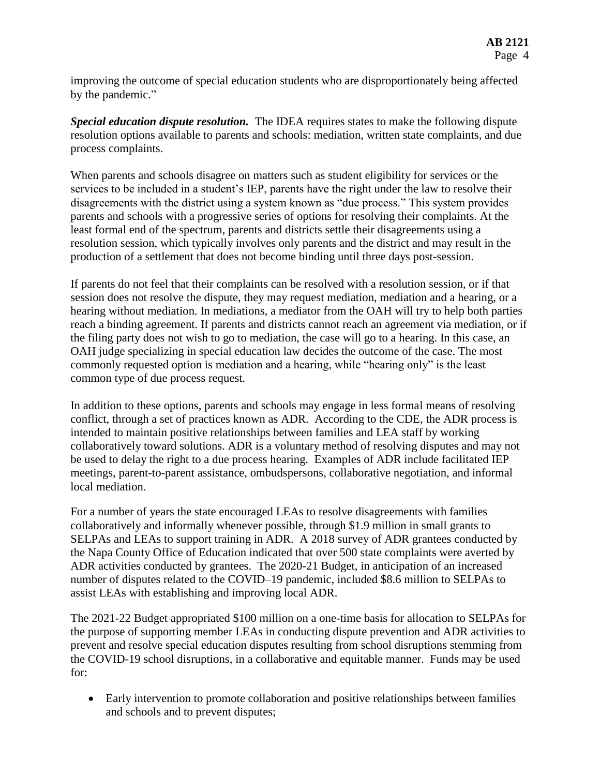improving the outcome of special education students who are disproportionately being affected by the pandemic."

*Special education dispute resolution.* The IDEA requires states to make the following dispute resolution options available to parents and schools: mediation, written state complaints, and due process complaints.

When parents and schools disagree on matters such as student eligibility for services or the services to be included in a student's IEP, parents have the right under the law to resolve their disagreements with the district using a system known as "due process." This system provides parents and schools with a progressive series of options for resolving their complaints. At the least formal end of the spectrum, parents and districts settle their disagreements using a resolution session, which typically involves only parents and the district and may result in the production of a settlement that does not become binding until three days post-session.

If parents do not feel that their complaints can be resolved with a resolution session, or if that session does not resolve the dispute, they may request mediation, mediation and a hearing, or a hearing without mediation. In mediations, a mediator from the OAH will try to help both parties reach a binding agreement. If parents and districts cannot reach an agreement via mediation, or if the filing party does not wish to go to mediation, the case will go to a hearing. In this case, an OAH judge specializing in special education law decides the outcome of the case. The most commonly requested option is mediation and a hearing, while "hearing only" is the least common type of due process request.

In addition to these options, parents and schools may engage in less formal means of resolving conflict, through a set of practices known as ADR. According to the CDE, the ADR process is intended to maintain positive relationships between families and LEA staff by working collaboratively toward solutions. ADR is a voluntary method of resolving disputes and may not be used to delay the right to a due process hearing. Examples of ADR include facilitated IEP meetings, parent-to-parent assistance, ombudspersons, collaborative negotiation, and informal local mediation.

For a number of years the state encouraged LEAs to resolve disagreements with families collaboratively and informally whenever possible, through \$1.9 million in small grants to SELPAs and LEAs to support training in ADR. A 2018 survey of ADR grantees conducted by the Napa County Office of Education indicated that over 500 state complaints were averted by ADR activities conducted by grantees. The 2020-21 Budget, in anticipation of an increased number of disputes related to the COVID–19 pandemic, included \$8.6 million to SELPAs to assist LEAs with establishing and improving local ADR.

The 2021-22 Budget appropriated \$100 million on a one-time basis for allocation to SELPAs for the purpose of supporting member LEAs in conducting dispute prevention and ADR activities to prevent and resolve special education disputes resulting from school disruptions stemming from the COVID-19 school disruptions, in a collaborative and equitable manner. Funds may be used for:

 Early intervention to promote collaboration and positive relationships between families and schools and to prevent disputes;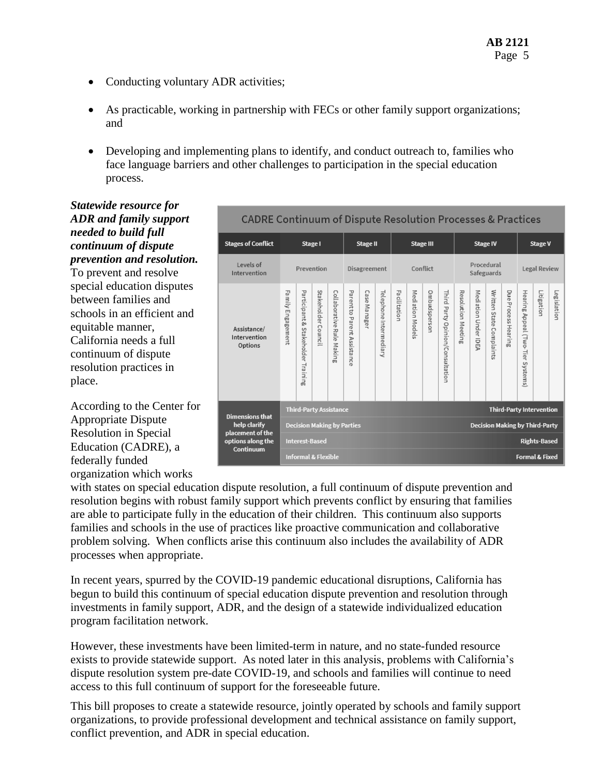- Conducting voluntary ADR activities;
- As practicable, working in partnership with FECs or other family support organizations; and
- Developing and implementing plans to identify, and conduct outreach to, families who face language barriers and other challenges to participation in the special education process.

*Statewide resource for ADR and family support needed to build full continuum of dispute prevention and resolution.* To prevent and resolve special education disputes between families and schools in an efficient and equitable manner, California needs a full continuum of dispute resolution practices in

According to the Center for Appropriate Dispute Resolution in Special Education (CADRE), a federally funded organization which works

place.



with states on special education dispute resolution, a full continuum of dispute prevention and resolution begins with robust family support which prevents conflict by ensuring that families are able to participate fully in the education of their children. This continuum also supports families and schools in the use of practices like proactive communication and collaborative problem solving. When conflicts arise this continuum also includes the availability of ADR processes when appropriate.

In recent years, spurred by the COVID-19 pandemic educational disruptions, California has begun to build this continuum of special education dispute prevention and resolution through investments in family support, ADR, and the design of a statewide individualized education program facilitation network.

However, these investments have been limited-term in nature, and no state-funded resource exists to provide statewide support. As noted later in this analysis, problems with California's dispute resolution system pre-date COVID-19, and schools and families will continue to need access to this full continuum of support for the foreseeable future.

This bill proposes to create a statewide resource, jointly operated by schools and family support organizations, to provide professional development and technical assistance on family support, conflict prevention, and ADR in special education.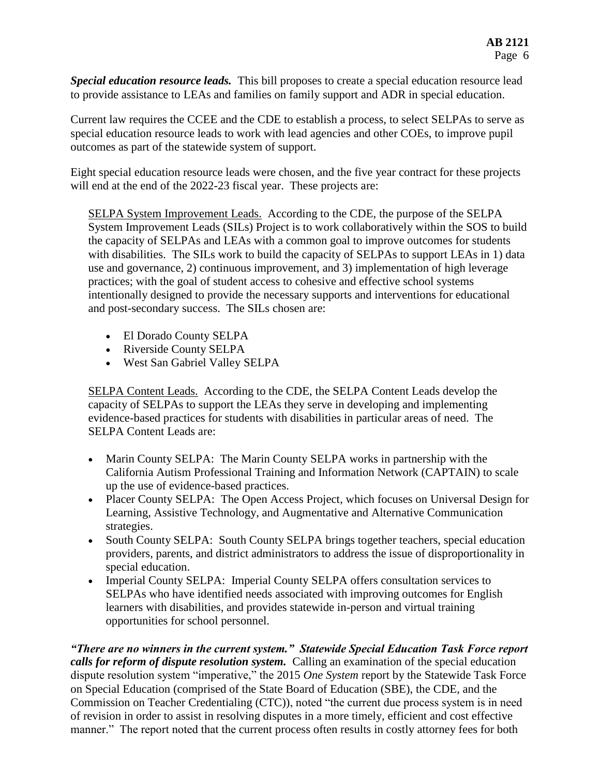*Special education resource leads.* This bill proposes to create a special education resource lead to provide assistance to LEAs and families on family support and ADR in special education.

Current law requires the CCEE and the CDE to establish a process, to select SELPAs to serve as special education resource leads to work with lead agencies and other COEs, to improve pupil outcomes as part of the statewide system of support.

Eight special education resource leads were chosen, and the five year contract for these projects will end at the end of the 2022-23 fiscal year. These projects are:

SELPA System Improvement Leads.According to the CDE, the purpose of the SELPA System Improvement Leads (SILs) Project is to work collaboratively within the SOS to build the capacity of SELPAs and LEAs with a common goal to improve outcomes for students with disabilities. The SILs work to build the capacity of SELPAs to support LEAs in 1) data use and governance, 2) continuous improvement, and 3) implementation of high leverage practices; with the goal of student access to cohesive and effective school systems intentionally designed to provide the necessary supports and interventions for educational and post-secondary success. The SILs chosen are:

- El Dorado County SELPA
- Riverside County SELPA
- West San Gabriel Valley SELPA

SELPA Content Leads.According to the CDE, the SELPA Content Leads develop the capacity of SELPAs to support the LEAs they serve in developing and implementing evidence-based practices for students with disabilities in particular areas of need. The SELPA Content Leads are:

- Marin County SELPA: The Marin County SELPA works in partnership with the California Autism Professional Training and Information Network (CAPTAIN) to scale up the use of evidence-based practices.
- Placer County SELPA: The Open Access Project, which focuses on Universal Design for Learning, Assistive Technology, and Augmentative and Alternative Communication strategies.
- South County SELPA: South County SELPA brings together teachers, special education providers, parents, and district administrators to address the issue of disproportionality in special education.
- Imperial County SELPA: Imperial County SELPA offers consultation services to SELPAs who have identified needs associated with improving outcomes for English learners with disabilities, and provides statewide in-person and virtual training opportunities for school personnel.

*"There are no winners in the current system." Statewide Special Education Task Force report calls for reform of dispute resolution system.* Calling an examination of the special education dispute resolution system "imperative," the 2015 *One System* report by the Statewide Task Force on Special Education (comprised of the State Board of Education (SBE), the CDE, and the Commission on Teacher Credentialing (CTC)), noted "the current due process system is in need of revision in order to assist in resolving disputes in a more timely, efficient and cost effective manner." The report noted that the current process often results in costly attorney fees for both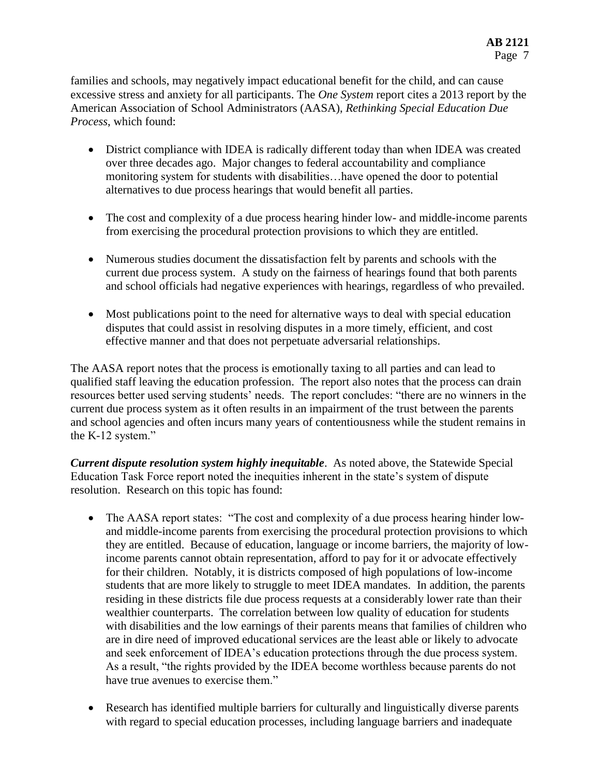families and schools, may negatively impact educational benefit for the child, and can cause excessive stress and anxiety for all participants. The *One System* report cites a 2013 report by the American Association of School Administrators (AASA), *Rethinking Special Education Due Process*, which found:

- District compliance with IDEA is radically different today than when IDEA was created over three decades ago. Major changes to federal accountability and compliance monitoring system for students with disabilities…have opened the door to potential alternatives to due process hearings that would benefit all parties.
- The cost and complexity of a due process hearing hinder low- and middle-income parents from exercising the procedural protection provisions to which they are entitled.
- Numerous studies document the dissatisfaction felt by parents and schools with the current due process system. A study on the fairness of hearings found that both parents and school officials had negative experiences with hearings, regardless of who prevailed.
- Most publications point to the need for alternative ways to deal with special education disputes that could assist in resolving disputes in a more timely, efficient, and cost effective manner and that does not perpetuate adversarial relationships.

The AASA report notes that the process is emotionally taxing to all parties and can lead to qualified staff leaving the education profession. The report also notes that the process can drain resources better used serving students' needs. The report concludes: "there are no winners in the current due process system as it often results in an impairment of the trust between the parents and school agencies and often incurs many years of contentiousness while the student remains in the K-12 system."

*Current dispute resolution system highly inequitable*. As noted above, the Statewide Special Education Task Force report noted the inequities inherent in the state's system of dispute resolution. Research on this topic has found:

- The AASA report states: "The cost and complexity of a due process hearing hinder lowand middle-income parents from exercising the procedural protection provisions to which they are entitled. Because of education, language or income barriers, the majority of lowincome parents cannot obtain representation, afford to pay for it or advocate effectively for their children. Notably, it is districts composed of high populations of low-income students that are more likely to struggle to meet IDEA mandates. In addition, the parents residing in these districts file due process requests at a considerably lower rate than their wealthier counterparts. The correlation between low quality of education for students with disabilities and the low earnings of their parents means that families of children who are in dire need of improved educational services are the least able or likely to advocate and seek enforcement of IDEA's education protections through the due process system. As a result, "the rights provided by the IDEA become worthless because parents do not have true avenues to exercise them."
- Research has identified multiple barriers for culturally and linguistically diverse parents with regard to special education processes, including language barriers and inadequate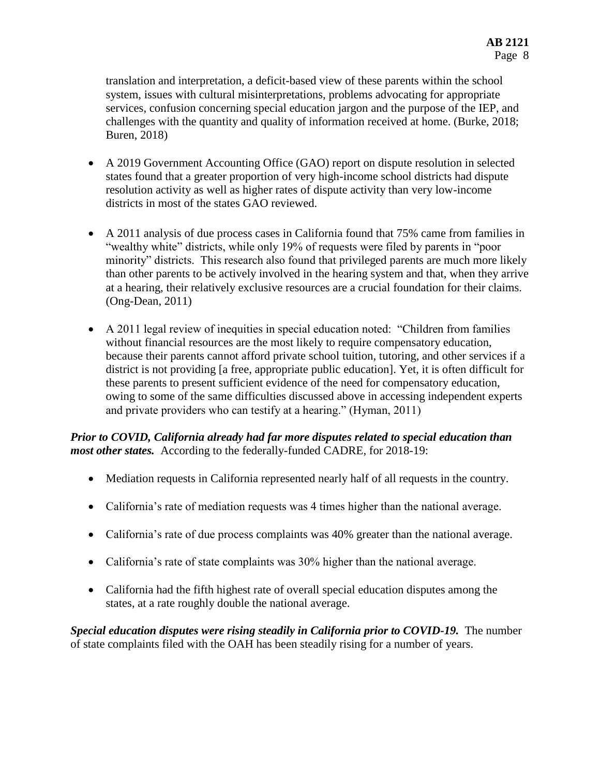translation and interpretation, a deficit-based view of these parents within the school system, issues with cultural misinterpretations, problems advocating for appropriate services, confusion concerning special education jargon and the purpose of the IEP, and challenges with the quantity and quality of information received at home. (Burke, 2018; Buren, 2018)

- A 2019 Government Accounting Office (GAO) report on dispute resolution in selected states found that a greater proportion of very high-income school districts had dispute resolution activity as well as higher rates of dispute activity than very low-income districts in most of the states GAO reviewed.
- A 2011 analysis of due process cases in California found that 75% came from families in "wealthy white" districts, while only 19% of requests were filed by parents in "poor minority" districts. This research also found that privileged parents are much more likely than other parents to be actively involved in the hearing system and that, when they arrive at a hearing, their relatively exclusive resources are a crucial foundation for their claims. (Ong-Dean, 2011)
- A 2011 legal review of inequities in special education noted: "Children from families without financial resources are the most likely to require compensatory education, because their parents cannot afford private school tuition, tutoring, and other services if a district is not providing [a free, appropriate public education]. Yet, it is often difficult for these parents to present sufficient evidence of the need for compensatory education, owing to some of the same difficulties discussed above in accessing independent experts and private providers who can testify at a hearing." (Hyman, 2011)

*Prior to COVID, California already had far more disputes related to special education than most other states.* According to the federally-funded CADRE, for 2018-19:

- Mediation requests in California represented nearly half of all requests in the country.
- California's rate of mediation requests was 4 times higher than the national average.
- California's rate of due process complaints was 40% greater than the national average.
- California's rate of state complaints was 30% higher than the national average.
- California had the fifth highest rate of overall special education disputes among the states, at a rate roughly double the national average.

*Special education disputes were rising steadily in California prior to COVID-19.* The number of state complaints filed with the OAH has been steadily rising for a number of years.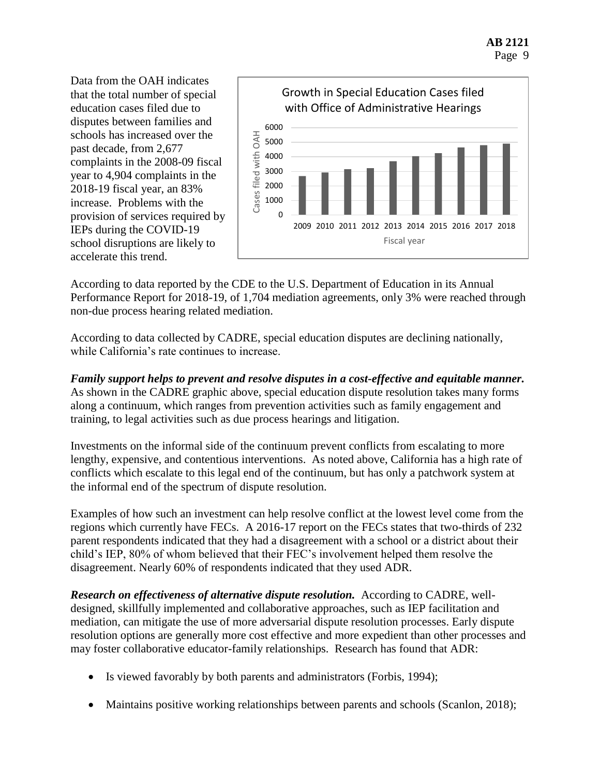Data from the OAH indicates that the total number of special education cases filed due to disputes between families and schools has increased over the past decade, from 2,677 complaints in the 2008-09 fiscal year to 4,904 complaints in the 2018-19 fiscal year, an 83% increase. Problems with the provision of services required by IEPs during the COVID-19 school disruptions are likely to accelerate this trend.



According to data reported by the CDE to the U.S. Department of Education in its Annual Performance Report for 2018-19, of 1,704 mediation agreements, only 3% were reached through non-due process hearing related mediation.

According to data collected by CADRE, special education disputes are declining nationally, while California's rate continues to increase.

## *Family support helps to prevent and resolve disputes in a cost-effective and equitable manner.*  As shown in the CADRE graphic above, special education dispute resolution takes many forms

along a continuum, which ranges from prevention activities such as family engagement and training, to legal activities such as due process hearings and litigation.

Investments on the informal side of the continuum prevent conflicts from escalating to more lengthy, expensive, and contentious interventions. As noted above, California has a high rate of conflicts which escalate to this legal end of the continuum, but has only a patchwork system at the informal end of the spectrum of dispute resolution.

Examples of how such an investment can help resolve conflict at the lowest level come from the regions which currently have FECs. A 2016-17 report on the FECs states that two-thirds of 232 parent respondents indicated that they had a disagreement with a school or a district about their child's IEP, 80% of whom believed that their FEC's involvement helped them resolve the disagreement. Nearly 60% of respondents indicated that they used ADR.

**Research on effectiveness of alternative dispute resolution.** According to CADRE, welldesigned, skillfully implemented and collaborative approaches, such as IEP facilitation and mediation, can mitigate the use of more adversarial dispute resolution processes. Early dispute resolution options are generally more cost effective and more expedient than other processes and may foster collaborative educator-family relationships. Research has found that ADR:

- Is viewed favorably by both parents and administrators (Forbis, 1994);
- Maintains positive working relationships between parents and schools (Scanlon, 2018);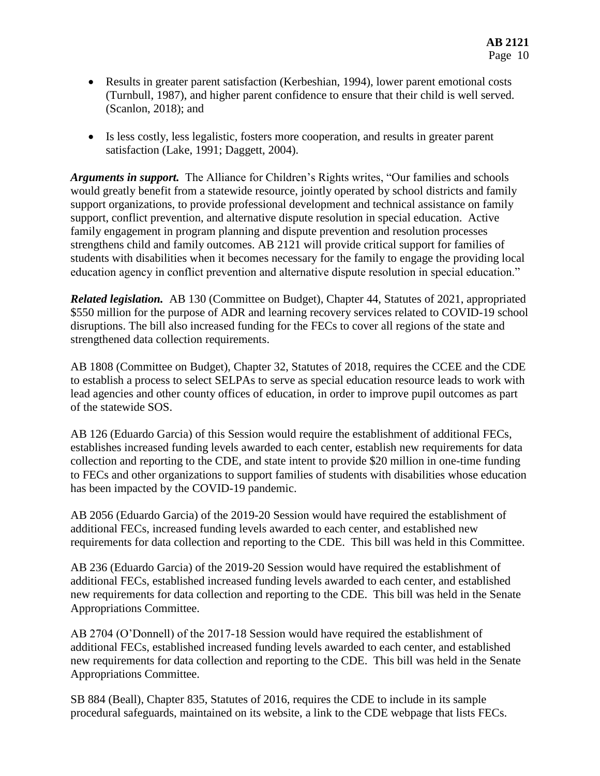- Results in greater parent satisfaction (Kerbeshian, 1994), lower parent emotional costs (Turnbull, 1987), and higher parent confidence to ensure that their child is well served. (Scanlon, 2018); and
- Is less costly, less legalistic, fosters more cooperation, and results in greater parent satisfaction (Lake, 1991; Daggett, 2004).

*Arguments in support.* The Alliance for Children's Rights writes, "Our families and schools would greatly benefit from a statewide resource, jointly operated by school districts and family support organizations, to provide professional development and technical assistance on family support, conflict prevention, and alternative dispute resolution in special education. Active family engagement in program planning and dispute prevention and resolution processes strengthens child and family outcomes. AB 2121 will provide critical support for families of students with disabilities when it becomes necessary for the family to engage the providing local education agency in conflict prevention and alternative dispute resolution in special education."

*Related legislation.* AB 130 (Committee on Budget), Chapter 44, Statutes of 2021, appropriated \$550 million for the purpose of ADR and learning recovery services related to COVID-19 school disruptions. The bill also increased funding for the FECs to cover all regions of the state and strengthened data collection requirements.

AB 1808 (Committee on Budget), Chapter 32, Statutes of 2018, requires the CCEE and the CDE to establish a process to select SELPAs to serve as special education resource leads to work with lead agencies and other county offices of education, in order to improve pupil outcomes as part of the statewide SOS.

AB 126 (Eduardo Garcia) of this Session would require the establishment of additional FECs, establishes increased funding levels awarded to each center, establish new requirements for data collection and reporting to the CDE, and state intent to provide \$20 million in one-time funding to FECs and other organizations to support families of students with disabilities whose education has been impacted by the COVID-19 pandemic.

AB 2056 (Eduardo Garcia) of the 2019-20 Session would have required the establishment of additional FECs, increased funding levels awarded to each center, and established new requirements for data collection and reporting to the CDE. This bill was held in this Committee.

AB 236 (Eduardo Garcia) of the 2019-20 Session would have required the establishment of additional FECs, established increased funding levels awarded to each center, and established new requirements for data collection and reporting to the CDE. This bill was held in the Senate Appropriations Committee.

AB 2704 (O'Donnell) of the 2017-18 Session would have required the establishment of additional FECs, established increased funding levels awarded to each center, and established new requirements for data collection and reporting to the CDE. This bill was held in the Senate Appropriations Committee.

SB 884 (Beall), Chapter 835, Statutes of 2016, requires the CDE to include in its sample procedural safeguards, maintained on its website, a link to the CDE webpage that lists FECs.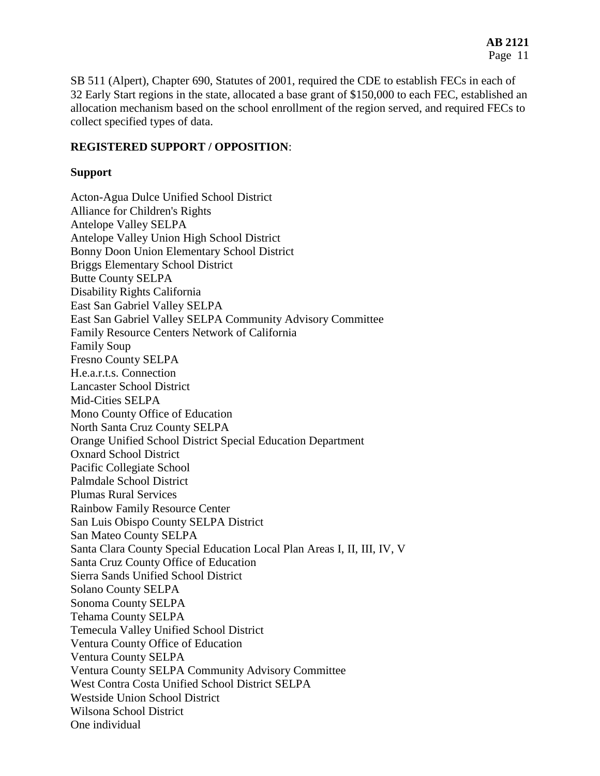SB 511 (Alpert), Chapter 690, Statutes of 2001, required the CDE to establish FECs in each of 32 Early Start regions in the state, allocated a base grant of \$150,000 to each FEC, established an allocation mechanism based on the school enrollment of the region served, and required FECs to collect specified types of data.

#### **REGISTERED SUPPORT / OPPOSITION**:

#### **Support**

Acton-Agua Dulce Unified School District Alliance for Children's Rights Antelope Valley SELPA Antelope Valley Union High School District Bonny Doon Union Elementary School District Briggs Elementary School District Butte County SELPA Disability Rights California East San Gabriel Valley SELPA East San Gabriel Valley SELPA Community Advisory Committee Family Resource Centers Network of California Family Soup Fresno County SELPA H.e.a.r.t.s. Connection Lancaster School District Mid-Cities SELPA Mono County Office of Education North Santa Cruz County SELPA Orange Unified School District Special Education Department Oxnard School District Pacific Collegiate School Palmdale School District Plumas Rural Services Rainbow Family Resource Center San Luis Obispo County SELPA District San Mateo County SELPA Santa Clara County Special Education Local Plan Areas I, II, III, IV, V Santa Cruz County Office of Education Sierra Sands Unified School District Solano County SELPA Sonoma County SELPA Tehama County SELPA Temecula Valley Unified School District Ventura County Office of Education Ventura County SELPA Ventura County SELPA Community Advisory Committee West Contra Costa Unified School District SELPA Westside Union School District Wilsona School District One individual